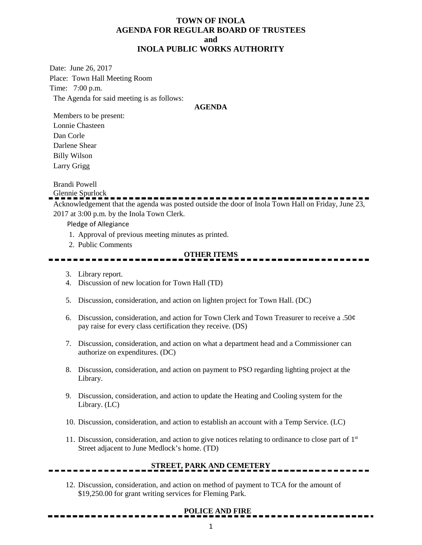### **TOWN OF INOLA AGENDA FOR REGULAR BOARD OF TRUSTEES and INOLA PUBLIC WORKS AUTHORITY**

Date: June 26, 2017 Place: Town Hall Meeting Room Time: 7:00 p.m. The Agenda for said meeting is as follows:

#### **AGENDA**

Members to be present: Lonnie Chasteen Dan Corle Darlene Shear Billy Wilson Larry Grigg

Brandi Powell

Glennie Spurlock

Acknowledgement that the agenda was posted outside the door of Inola Town Hall on Friday, June 23, 2017 at 3:00 p.m. by the Inola Town Clerk.

Pledge of Allegiance

- 1. Approval of previous meeting minutes as printed.
- 2. Public Comments

#### **OTHER ITEMS**

- 3. Library report.
- 4. Discussion of new location for Town Hall (TD)
- 5. Discussion, consideration, and action on lighten project for Town Hall. (DC)
- 6. Discussion, consideration, and action for Town Clerk and Town Treasurer to receive a .50¢ pay raise for every class certification they receive. (DS)
- 7. Discussion, consideration, and action on what a department head and a Commissioner can authorize on expenditures. (DC)
- 8. Discussion, consideration, and action on payment to PSO regarding lighting project at the Library.
- 9. Discussion, consideration, and action to update the Heating and Cooling system for the Library. (LC)
- 10. Discussion, consideration, and action to establish an account with a Temp Service. (LC)
- 11. Discussion, consideration, and action to give notices relating to ordinance to close part of 1<sup>st</sup> Street adjacent to June Medlock's home. (TD)

# **STREET, PARK AND CEMETERY**

12. Discussion, consideration, and action on method of payment to TCA for the amount of \$19,250.00 for grant writing services for Fleming Park.

### **POLICE AND FIRE**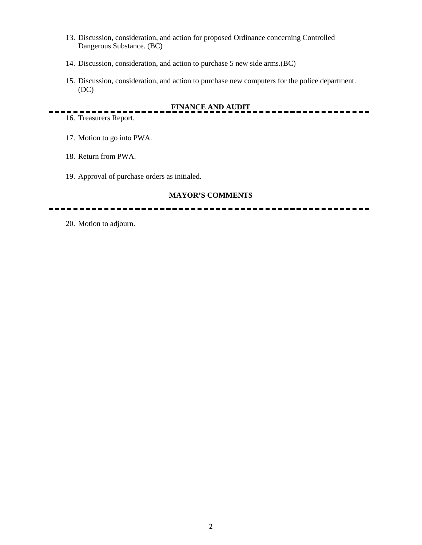- 13. Discussion, consideration, and action for proposed Ordinance concerning Controlled Dangerous Substance. (BC)
- 14. Discussion, consideration, and action to purchase 5 new side arms.(BC)
- 15. Discussion, consideration, and action to purchase new computers for the police department. (DC)

## **FINANCE AND AUDIT**

 $\overline{\phantom{0}}$ 

16. Treasurers Report.

- 17. Motion to go into PWA.
- 18. Return from PWA.
- 19. Approval of purchase orders as initialed.

### **MAYOR'S COMMENTS**

20. Motion to adjourn.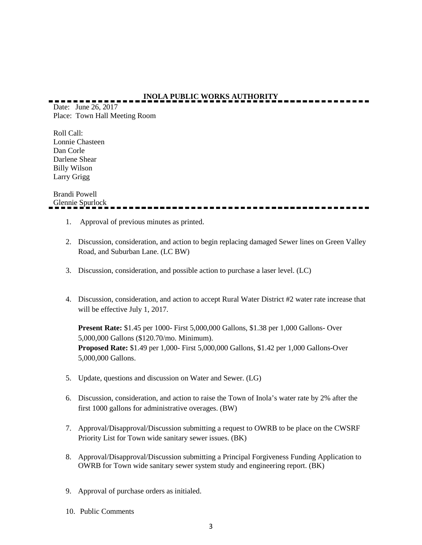# **INOLA PUBLIC WORKS AUTHORITY**

Date: June 26, 2017 Place: Town Hall Meeting Room

Roll Call: Lonnie Chasteen Dan Corle Darlene Shear Billy Wilson Larry Grigg

Brandi Powell Glennie Spurlock

- 1. Approval of previous minutes as printed.
- 2. Discussion, consideration, and action to begin replacing damaged Sewer lines on Green Valley Road, and Suburban Lane. (LC BW)
- 3. Discussion, consideration, and possible action to purchase a laser level. (LC)
- 4. Discussion, consideration, and action to accept Rural Water District #2 water rate increase that will be effective July 1, 2017.

**Present Rate:** \$1.45 per 1000- First 5,000,000 Gallons, \$1.38 per 1,000 Gallons- Over 5,000,000 Gallons (\$120.70/mo. Minimum). **Proposed Rate:** \$1.49 per 1,000- First 5,000,000 Gallons, \$1.42 per 1,000 Gallons-Over 5,000,000 Gallons.

- 5. Update, questions and discussion on Water and Sewer. (LG)
- 6. Discussion, consideration, and action to raise the Town of Inola's water rate by 2% after the first 1000 gallons for administrative overages. (BW)
- 7. Approval/Disapproval/Discussion submitting a request to OWRB to be place on the CWSRF Priority List for Town wide sanitary sewer issues. (BK)
- 8. Approval/Disapproval/Discussion submitting a Principal Forgiveness Funding Application to OWRB for Town wide sanitary sewer system study and engineering report. (BK)
- 9. Approval of purchase orders as initialed.
- 10. Public Comments